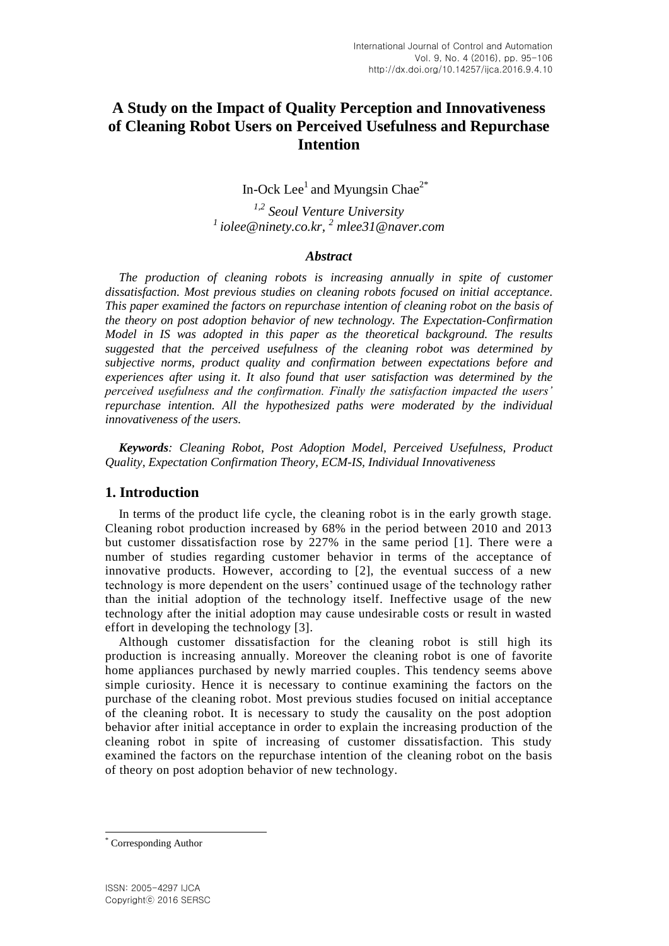# **A Study on the Impact of Quality Perception and Innovativeness of Cleaning Robot Users on Perceived Usefulness and Repurchase Intention**

In-Ock Lee<sup>1</sup> and Myungsin Chae<sup>2\*</sup>

*1,2 Seoul Venture University <sup>1</sup>iolee@ninety.co.kr, <sup>2</sup> mlee31@naver.com*

## *Abstract*

*The production of cleaning robots is increasing annually in spite of customer dissatisfaction. Most previous studies on cleaning robots focused on initial acceptance. This paper examined the factors on repurchase intention of cleaning robot on the basis of the theory on post adoption behavior of new technology. The Expectation-Confirmation Model in IS was adopted in this paper as the theoretical background. The results suggested that the perceived usefulness of the cleaning robot was determined by subjective norms, product quality and confirmation between expectations before and experiences after using it. It also found that user satisfaction was determined by the perceived usefulness and the confirmation. Finally the satisfaction impacted the users' repurchase intention. All the hypothesized paths were moderated by the individual innovativeness of the users.*

*Keywords: Cleaning Robot, Post Adoption Model, Perceived Usefulness, Product Quality, Expectation Confirmation Theory, ECM-IS, Individual Innovativeness*

## **1. Introduction**

In terms of the product life cycle, the cleaning robot is in the early growth stage. Cleaning robot production increased by 68% in the period between 2010 and 2013 but customer dissatisfaction rose by 227% in the same period [1]. There were a number of studies regarding customer behavior in terms of the acceptance of innovative products. However, according to [2], the eventual success of a new technology is more dependent on the users' continued usage of the technology rather than the initial adoption of the technology itself. Ineffective usage of the new technology after the initial adoption may cause undesirable costs or result in wasted effort in developing the technology [3].

Although customer dissatisfaction for the cleaning robot is still high its production is increasing annually. Moreover the cleaning robot is one of favorite home appliances purchased by newly married couples. This tendency seems above simple curiosity. Hence it is necessary to continue examining the factors on the purchase of the cleaning robot. Most previous studies focused on initial acceptance of the cleaning robot. It is necessary to study the causality on the post adoption behavior after initial acceptance in order to explain the increasing production of the cleaning robot in spite of increasing of customer dissatisfaction. This study examined the factors on the repurchase intention of the cleaning robot on the basis of theory on post adoption behavior of new technology.

l

Corresponding Author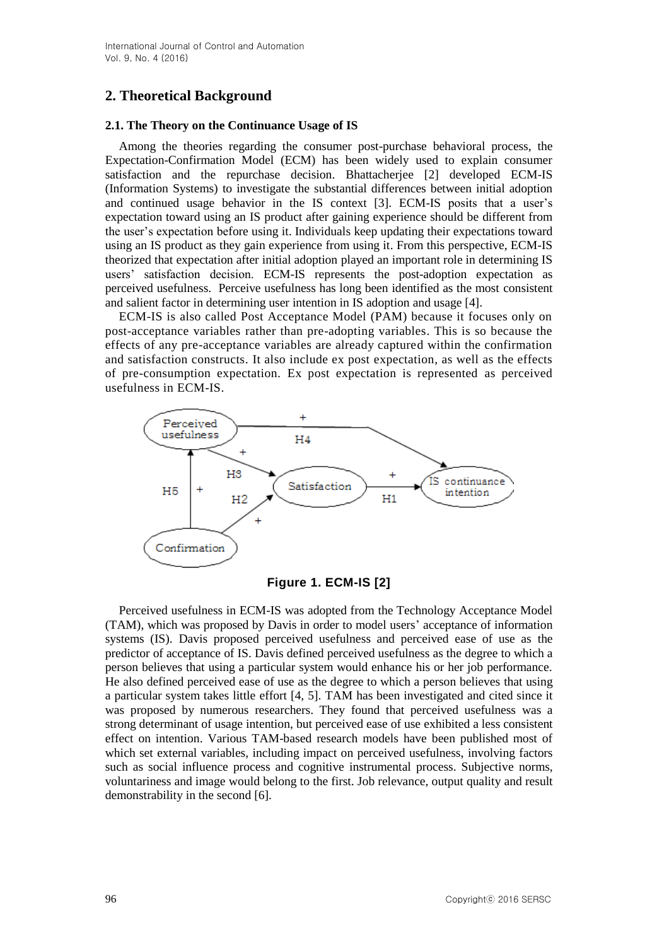## **2. Theoretical Background**

## **2.1. The Theory on the Continuance Usage of IS**

Among the theories regarding the consumer post-purchase behavioral process, the Expectation-Confirmation Model (ECM) has been widely used to explain consumer satisfaction and the repurchase decision. Bhattacherjee [2] developed ECM-IS (Information Systems) to investigate the substantial differences between initial adoption and continued usage behavior in the IS context [3]. ECM-IS posits that a user's expectation toward using an IS product after gaining experience should be different from the user's expectation before using it. Individuals keep updating their expectations toward using an IS product as they gain experience from using it. From this perspective, ECM-IS theorized that expectation after initial adoption played an important role in determining IS users' satisfaction decision. ECM-IS represents the post-adoption expectation as perceived usefulness. Perceive usefulness has long been identified as the most consistent and salient factor in determining user intention in IS adoption and usage [4].

ECM-IS is also called Post Acceptance Model (PAM) because it focuses only on post-acceptance variables rather than pre-adopting variables. This is so because the effects of any pre-acceptance variables are already captured within the confirmation and satisfaction constructs. It also include ex post expectation, as well as the effects of pre-consumption expectation. Ex post expectation is represented as perceived usefulness in ECM-IS.





Perceived usefulness in ECM-IS was adopted from the Technology Acceptance Model (TAM), which was proposed by Davis in order to model users' acceptance of information systems (IS). Davis proposed perceived usefulness and perceived ease of use as the predictor of acceptance of IS. Davis defined perceived usefulness as the degree to which a person believes that using a particular system would enhance his or her job performance. He also defined perceived ease of use as the degree to which a person believes that using a particular system takes little effort [4, 5]. TAM has been investigated and cited since it was proposed by numerous researchers. They found that perceived usefulness was a strong determinant of usage intention, but perceived ease of use exhibited a less consistent effect on intention. Various TAM-based research models have been published most of which set external variables, including impact on perceived usefulness, involving factors such as social influence process and cognitive instrumental process. Subjective norms, voluntariness and image would belong to the first. Job relevance, output quality and result demonstrability in the second [6].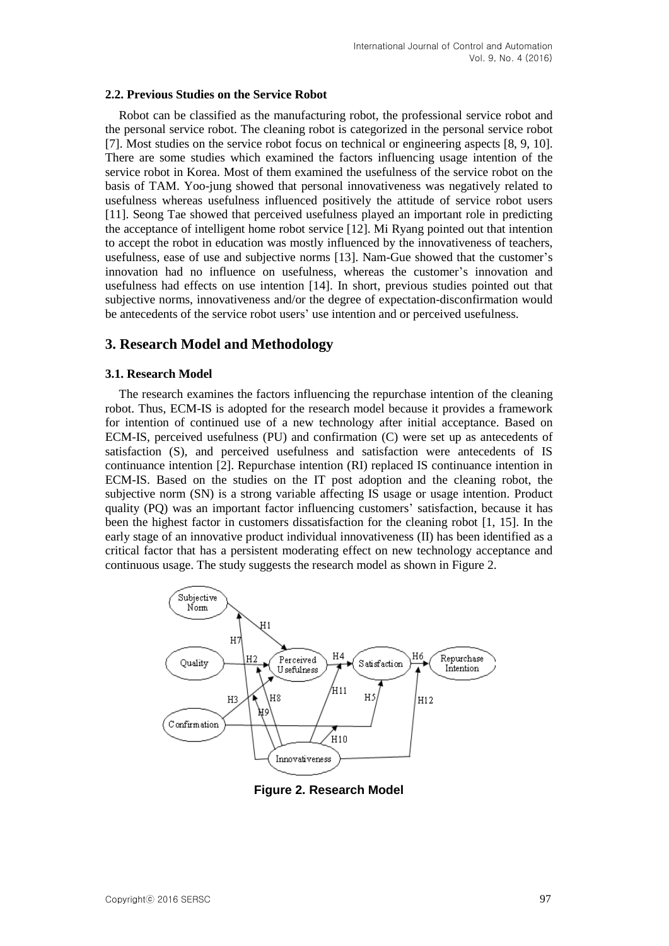#### **2.2. Previous Studies on the Service Robot**

Robot can be classified as the manufacturing robot, the professional service robot and the personal service robot. The cleaning robot is categorized in the personal service robot [7]. Most studies on the service robot focus on technical or engineering aspects [8, 9, 10]. There are some studies which examined the factors influencing usage intention of the service robot in Korea. Most of them examined the usefulness of the service robot on the basis of TAM. Yoo-jung showed that personal innovativeness was negatively related to usefulness whereas usefulness influenced positively the attitude of service robot users [11]. Seong Tae showed that perceived usefulness played an important role in predicting the acceptance of intelligent home robot service [12]. Mi Ryang pointed out that intention to accept the robot in education was mostly influenced by the innovativeness of teachers, usefulness, ease of use and subjective norms [13]. Nam-Gue showed that the customer's innovation had no influence on usefulness, whereas the customer's innovation and usefulness had effects on use intention [14]. In short, previous studies pointed out that subjective norms, innovativeness and/or the degree of expectation-disconfirmation would be antecedents of the service robot users' use intention and or perceived usefulness.

## **3. Research Model and Methodology**

#### **3.1. Research Model**

The research examines the factors influencing the repurchase intention of the cleaning robot. Thus, ECM-IS is adopted for the research model because it provides a framework for intention of continued use of a new technology after initial acceptance. Based on ECM-IS, perceived usefulness (PU) and confirmation (C) were set up as antecedents of satisfaction (S), and perceived usefulness and satisfaction were antecedents of IS continuance intention [2]. Repurchase intention (RI) replaced IS continuance intention in ECM-IS. Based on the studies on the IT post adoption and the cleaning robot, the subjective norm (SN) is a strong variable affecting IS usage or usage intention. Product quality (PQ) was an important factor influencing customers' satisfaction, because it has been the highest factor in customers dissatisfaction for the cleaning robot [1, 15]. In the early stage of an innovative product individual innovativeness (II) has been identified as a critical factor that has a persistent moderating effect on new technology acceptance and continuous usage. The study suggests the research model as shown in Figure 2.



**Figure 2. Research Model**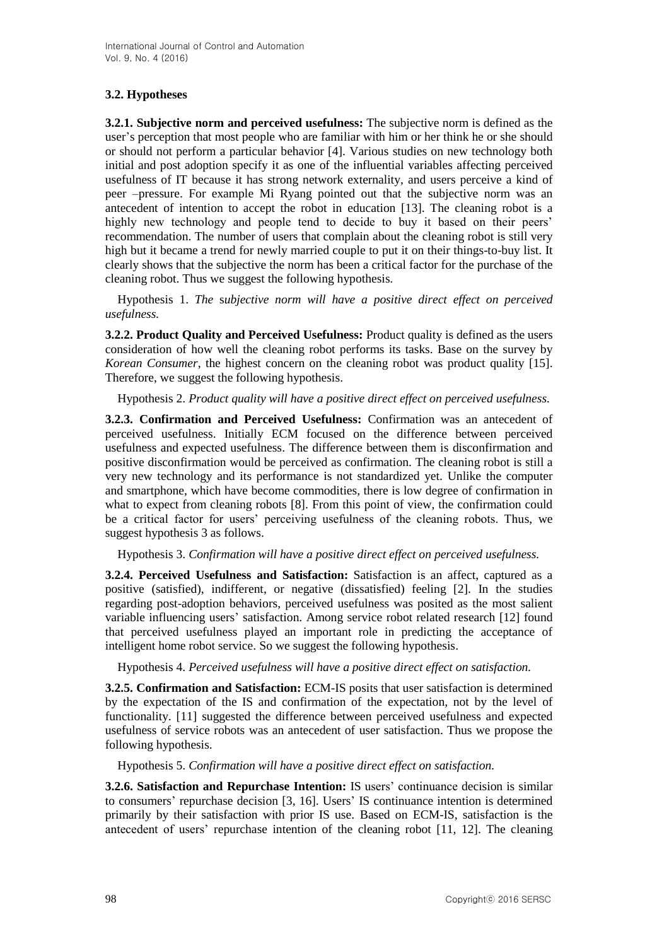## **3.2. Hypotheses**

**3.2.1. Subjective norm and perceived usefulness:** The subjective norm is defined as the user's perception that most people who are familiar with him or her think he or she should or should not perform a particular behavior [4]. Various studies on new technology both initial and post adoption specify it as one of the influential variables affecting perceived usefulness of IT because it has strong network externality, and users perceive a kind of peer –pressure. For example Mi Ryang pointed out that the subjective norm was an antecedent of intention to accept the robot in education [13]. The cleaning robot is a highly new technology and people tend to decide to buy it based on their peers' recommendation. The number of users that complain about the cleaning robot is still very high but it became a trend for newly married couple to put it on their things-to-buy list. It clearly shows that the subjective the norm has been a critical factor for the purchase of the cleaning robot. Thus we suggest the following hypothesis.

Hypothesis 1. *The* s*ubjective norm will have a positive direct effect on perceived usefulness.*

**3.2.2. Product Quality and Perceived Usefulness:** Product quality is defined as the users consideration of how well the cleaning robot performs its tasks. Base on the survey by *Korean Consumer*, the highest concern on the cleaning robot was product quality [15]. Therefore, we suggest the following hypothesis.

Hypothesis 2. *Product quality will have a positive direct effect on perceived usefulness.*

**3.2.3. Confirmation and Perceived Usefulness:** Confirmation was an antecedent of perceived usefulness. Initially ECM focused on the difference between perceived usefulness and expected usefulness. The difference between them is disconfirmation and positive disconfirmation would be perceived as confirmation. The cleaning robot is still a very new technology and its performance is not standardized yet. Unlike the computer and smartphone, which have become commodities, there is low degree of confirmation in what to expect from cleaning robots [8]. From this point of view, the confirmation could be a critical factor for users' perceiving usefulness of the cleaning robots. Thus, we suggest hypothesis 3 as follows.

Hypothesis 3. *Confirmation will have a positive direct effect on perceived usefulness.*

**3.2.4. Perceived Usefulness and Satisfaction:** Satisfaction is an affect, captured as a positive (satisfied), indifferent, or negative (dissatisfied) feeling [2]. In the studies regarding post-adoption behaviors, perceived usefulness was posited as the most salient variable influencing users' satisfaction. Among service robot related research [12] found that perceived usefulness played an important role in predicting the acceptance of intelligent home robot service. So we suggest the following hypothesis.

Hypothesis 4. *Perceived usefulness will have a positive direct effect on satisfaction.*

**3.2.5. Confirmation and Satisfaction:** ECM-IS posits that user satisfaction is determined by the expectation of the IS and confirmation of the expectation, not by the level of functionality. [11] suggested the difference between perceived usefulness and expected usefulness of service robots was an antecedent of user satisfaction. Thus we propose the following hypothesis.

Hypothesis 5. *Confirmation will have a positive direct effect on satisfaction.*

**3.2.6. Satisfaction and Repurchase Intention:** IS users' continuance decision is similar to consumers' repurchase decision [3, 16]. Users' IS continuance intention is determined primarily by their satisfaction with prior IS use. Based on ECM-IS, satisfaction is the antecedent of users' repurchase intention of the cleaning robot [11, 12]. The cleaning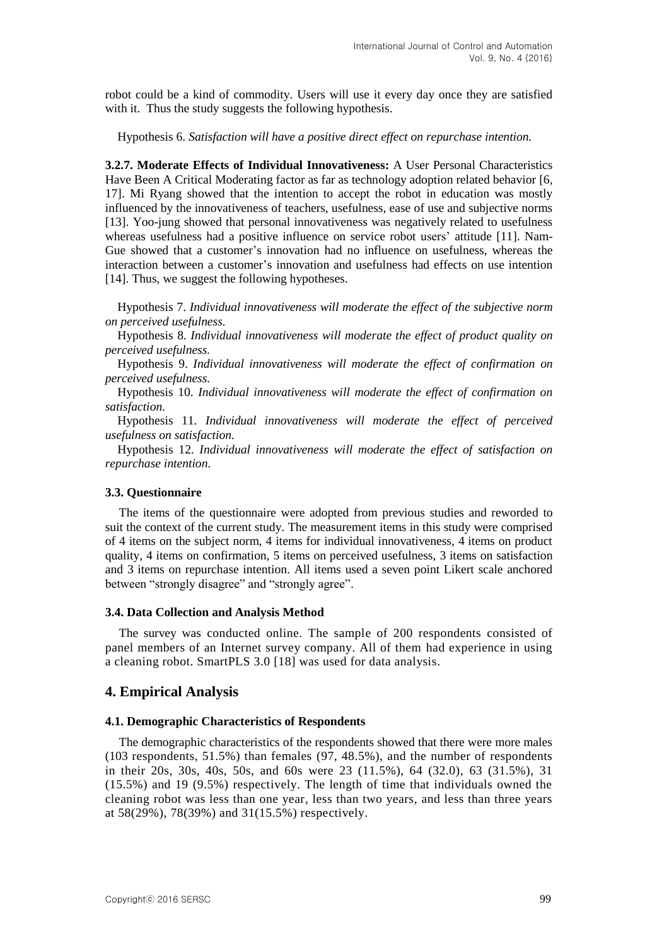robot could be a kind of commodity. Users will use it every day once they are satisfied with it. Thus the study suggests the following hypothesis.

Hypothesis 6. *Satisfaction will have a positive direct effect on repurchase intention.*

**3.2.7. Moderate Effects of Individual Innovativeness:** A User Personal Characteristics Have Been A Critical Moderating factor as far as technology adoption related behavior [6, 17]. Mi Ryang showed that the intention to accept the robot in education was mostly influenced by the innovativeness of teachers, usefulness, ease of use and subjective norms [13]. Yoo-jung showed that personal innovativeness was negatively related to usefulness whereas usefulness had a positive influence on service robot users' attitude [11]. Nam-Gue showed that a customer's innovation had no influence on usefulness, whereas the interaction between a customer's innovation and usefulness had effects on use intention [14]. Thus, we suggest the following hypotheses.

Hypothesis 7. *Individual innovativeness will moderate the effect of the subjective norm on perceived usefulness.*

Hypothesis 8. *Individual innovativeness will moderate the effect of product quality on perceived usefulness.*

Hypothesis 9. *Individual innovativeness will moderate the effect of confirmation on perceived usefulness.*

Hypothesis 10. *Individual innovativeness will moderate the effect of confirmation on satisfaction.*

Hypothesis 11. *Individual innovativeness will moderate the effect of perceived usefulness on satisfaction.*

Hypothesis 12. *Individual innovativeness will moderate the effect of satisfaction on repurchase intention.*

## **3.3. Questionnaire**

The items of the questionnaire were adopted from previous studies and reworded to suit the context of the current study. The measurement items in this study were comprised of 4 items on the subject norm, 4 items for individual innovativeness, 4 items on product quality, 4 items on confirmation, 5 items on perceived usefulness, 3 items on satisfaction and 3 items on repurchase intention. All items used a seven point Likert scale anchored between "strongly disagree" and "strongly agree".

#### **3.4. Data Collection and Analysis Method**

The survey was conducted online. The sample of 200 respondents consisted of panel members of an Internet survey company. All of them had experience in using a cleaning robot. SmartPLS 3.0 [18] was used for data analysis.

## **4. Empirical Analysis**

#### **4.1. Demographic Characteristics of Respondents**

The demographic characteristics of the respondents showed that there were more males (103 respondents, 51.5%) than females  $(97, 48.5\%)$ , and the number of respondents in their 20s, 30s, 40s, 50s, and 60s were 23 (11.5%), 64 (32.0), 63 (31.5%), 31 (15.5%) and 19 (9.5%) respectively. The length of time that individuals owned the cleaning robot was less than one year, less than two years, and less than three years at 58(29%), 78(39%) and 31(15.5%) respectively.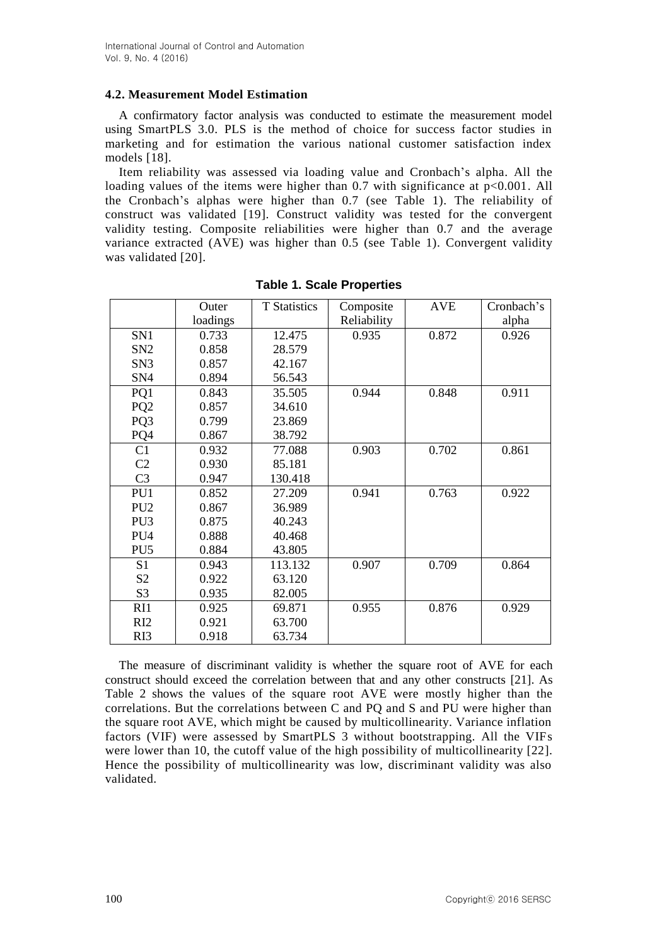## **4.2. Measurement Model Estimation**

A confirmatory factor analysis was conducted to estimate the measurement model using SmartPLS 3.0. PLS is the method of choice for success factor studies in marketing and for estimation the various national customer satisfaction index models [18].

Item reliability was assessed via loading value and Cronbach's alpha. All the loading values of the items were higher than 0.7 with significance at  $p<0.001$ . All the Cronbach's alphas were higher than 0.7 (see Table 1). The reliability of construct was validated [19]. Construct validity was tested for the convergent validity testing. Composite reliabilities were higher than 0.7 and the average variance extracted (AVE) was higher than 0.5 (see Table 1). Convergent validity was validated [20].

|                 | Outer    | <b>T</b> Statistics | Composite   | <b>AVE</b> | Cronbach's |
|-----------------|----------|---------------------|-------------|------------|------------|
|                 | loadings |                     | Reliability |            | alpha      |
| SN1             | 0.733    | 12.475              | 0.935       | 0.872      | 0.926      |
| SN <sub>2</sub> | 0.858    | 28.579              |             |            |            |
| SN3             | 0.857    | 42.167              |             |            |            |
| SN <sub>4</sub> | 0.894    | 56.543              |             |            |            |
| PQ1             | 0.843    | 35.505              | 0.944       | 0.848      | 0.911      |
| PQ <sub>2</sub> | 0.857    | 34.610              |             |            |            |
| PQ3             | 0.799    | 23.869              |             |            |            |
| PQ4             | 0.867    | 38.792              |             |            |            |
| C1              | 0.932    | 77.088              | 0.903       | 0.702      | 0.861      |
| C <sub>2</sub>  | 0.930    | 85.181              |             |            |            |
| C <sub>3</sub>  | 0.947    | 130.418             |             |            |            |
| PU1             | 0.852    | 27.209              | 0.941       | 0.763      | 0.922      |
| PU <sub>2</sub> | 0.867    | 36.989              |             |            |            |
| PU <sub>3</sub> | 0.875    | 40.243              |             |            |            |
| PU <sub>4</sub> | 0.888    | 40.468              |             |            |            |
| PU <sub>5</sub> | 0.884    | 43.805              |             |            |            |
| S <sub>1</sub>  | 0.943    | 113.132             | 0.907       | 0.709      | 0.864      |
| S <sub>2</sub>  | 0.922    | 63.120              |             |            |            |
| S <sub>3</sub>  | 0.935    | 82.005              |             |            |            |
| RI1             | 0.925    | 69.871              | 0.955       | 0.876      | 0.929      |
| RI <sub>2</sub> | 0.921    | 63.700              |             |            |            |
| RI3             | 0.918    | 63.734              |             |            |            |

| <b>Table 1. Scale Properties</b> |  |  |  |  |  |
|----------------------------------|--|--|--|--|--|
|----------------------------------|--|--|--|--|--|

The measure of discriminant validity is whether the square root of AVE for each construct should exceed the correlation between that and any other constructs [21]. As Table 2 shows the values of the square root AVE were mostly higher than the correlations. But the correlations between C and PQ and S and PU were higher than the square root AVE, which might be caused by multicollinearity. Variance inflation factors (VIF) were assessed by SmartPLS 3 without bootstrapping. All the VIFs were lower than 10, the cutoff value of the high possibility of multicollinearity [22]. Hence the possibility of multicollinearity was low, discriminant validity was also validated.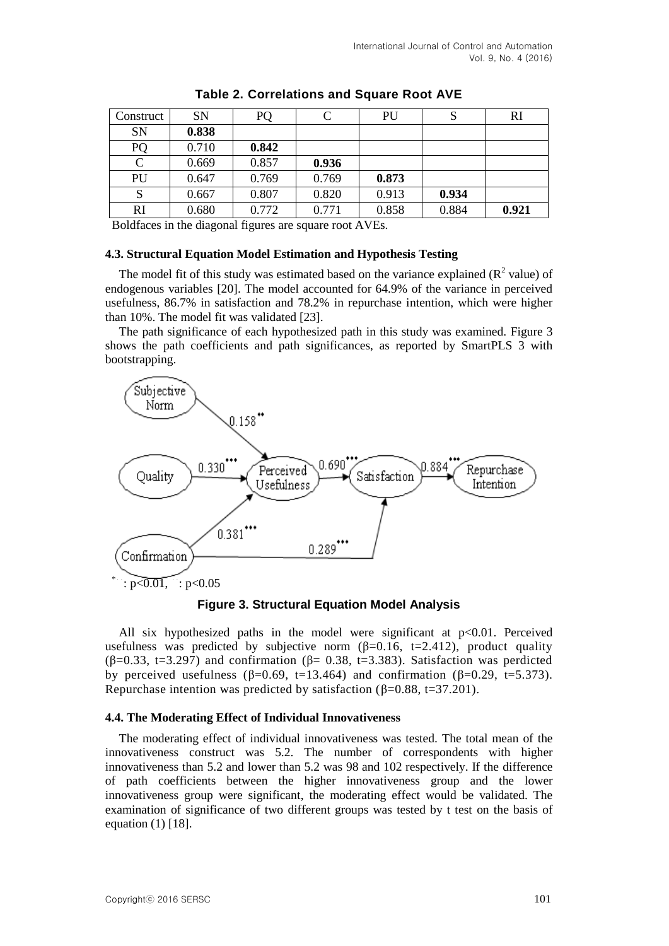| Construct | <b>SN</b> | PQ    |       | PU    | S     | RI    |
|-----------|-----------|-------|-------|-------|-------|-------|
| SN        | 0.838     |       |       |       |       |       |
| PQ        | 0.710     | 0.842 |       |       |       |       |
| C         | 0.669     | 0.857 | 0.936 |       |       |       |
| PU        | 0.647     | 0.769 | 0.769 | 0.873 |       |       |
| S         | 0.667     | 0.807 | 0.820 | 0.913 | 0.934 |       |
| RI        | 0.680     | 0.772 | 0.771 | 0.858 | 0.884 | 0.921 |

|  | Table 2. Correlations and Square Root AVE |  |  |
|--|-------------------------------------------|--|--|
|--|-------------------------------------------|--|--|

Boldfaces in the diagonal figures are square root AVEs.

### **4.3. Structural Equation Model Estimation and Hypothesis Testing**

The model fit of this study was estimated based on the variance explained  $(R^2 \text{ value})$  of endogenous variables [20]. The model accounted for 64.9% of the variance in perceived usefulness, 86.7% in satisfaction and 78.2% in repurchase intention, which were higher than 10%. The model fit was validated [23].

The path significance of each hypothesized path in this study was examined. Figure 3 shows the path coefficients and path significances, as reported by SmartPLS 3 with bootstrapping.



**Figure 3. Structural Equation Model Analysis**

All six hypothesized paths in the model were significant at  $p<0.01$ . Perceived usefulness was predicted by subjective norm  $(\beta=0.16, t=2.412)$ , product quality  $(\beta=0.33, t=3.297)$  and confirmation  $(\beta=0.38, t=3.383)$ . Satisfaction was perdicted by perceived usefulness  $(\beta=0.69, t=13.464)$  and confirmation  $(\beta=0.29, t=5.373)$ . Repurchase intention was predicted by satisfaction ( $\beta$ =0.88, t=37.201).

## **4.4. The Moderating Effect of Individual Innovativeness**

The moderating effect of individual innovativeness was tested. The total mean of the innovativeness construct was 5.2. The number of correspondents with higher innovativeness than 5.2 and lower than 5.2 was 98 and 102 respectively. If the difference of path coefficients between the higher innovativeness group and the lower innovativeness group were significant, the moderating effect would be validated. The examination of significance of two different groups was tested by t test on the basis of equation (1) [18].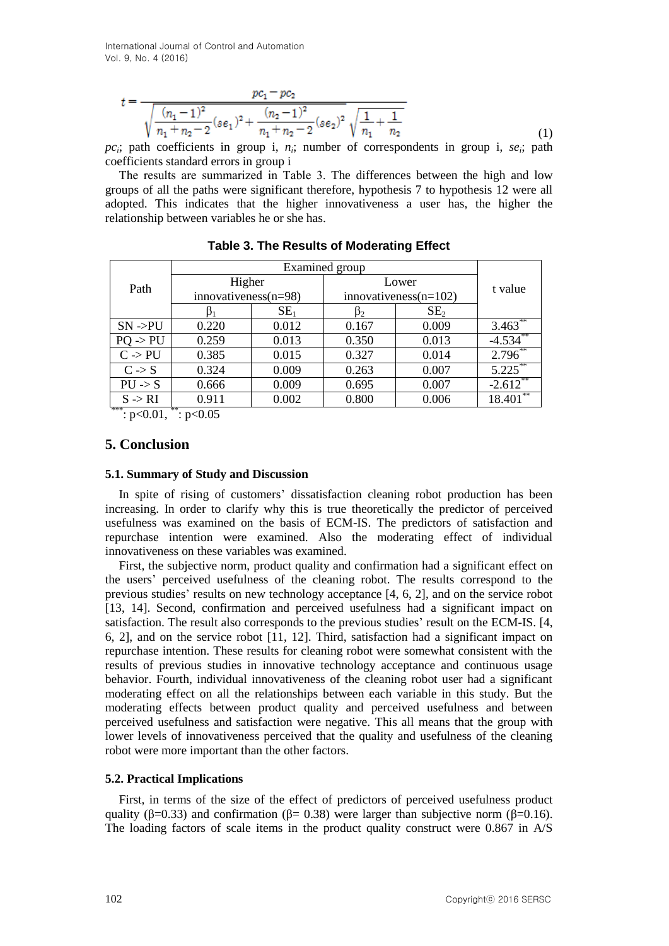International Journal of Control and Automation Vol. 9, No. 4 (2016)

$$
t = \frac{pc_1 - pc_2}{\sqrt{\frac{(n_1 - 1)^2}{n_1 + n_2 - 2}(s\epsilon_1)^2 + \frac{(n_2 - 1)^2}{n_1 + n_2 - 2}(s\epsilon_2)^2} \sqrt{\frac{1}{n_1} + \frac{1}{n_2}}}
$$
(1)

 $pc_i$ ; path coefficients in group i,  $n_i$ ; number of correspondents in group i,  $se_i$ ; path coefficients standard errors in group i

The results are summarized in Table 3. The differences between the high and low groups of all the paths were significant therefore, hypothesis 7 to hypothesis 12 were all adopted. This indicates that the higher innovativeness a user has, the higher the relationship between variables he or she has.

|                     | Examined group            |                 |                          |                 |              |
|---------------------|---------------------------|-----------------|--------------------------|-----------------|--------------|
| Path                | Higher                    |                 | Lower                    |                 | t value      |
|                     | $innovatives(n=98)$       |                 | innovativeness $(n=102)$ |                 |              |
|                     |                           | SE <sub>1</sub> |                          | SE <sub>2</sub> |              |
| $SN - PU$           | 0.220                     | 0.012           | 0.167                    | 0.009           | $3.463^{**}$ |
| $PO \rightarrow PU$ | 0.259                     | 0.013           | 0.350                    | 0.013           | $-4.534$ **  |
| $C \rightarrow PU$  | 0.385                     | 0.015           | 0.327                    | 0.014           | $2.796^{**}$ |
| $C \rightarrow S$   | 0.324                     | 0.009           | 0.263                    | 0.007           | $5.225***$   |
| $PU \rightarrow S$  | 0.666                     | 0.009           | 0.695                    | 0.007           | $-2.612$     |
| $S \rightarrow RI$  | 0.911                     | 0.002           | 0.800                    | 0.006           | 18.401       |
| ***<br>$\sim$ 0.01  | **<br>$\sim$ 0.0 $\sigma$ |                 |                          |                 |              |

|  |  | Table 3. The Results of Moderating Effect |  |
|--|--|-------------------------------------------|--|
|--|--|-------------------------------------------|--|

:  $p<0.01$ ,  $\therefore$   $p<0.05$ 

## **5. Conclusion**

### **5.1. Summary of Study and Discussion**

In spite of rising of customers' dissatisfaction cleaning robot production has been increasing. In order to clarify why this is true theoretically the predictor of perceived usefulness was examined on the basis of ECM-IS. The predictors of satisfaction and repurchase intention were examined. Also the moderating effect of individual innovativeness on these variables was examined.

First, the subjective norm, product quality and confirmation had a significant effect on the users' perceived usefulness of the cleaning robot. The results correspond to the previous studies' results on new technology acceptance [4, 6, 2], and on the service robot [13, 14]. Second, confirmation and perceived usefulness had a significant impact on satisfaction. The result also corresponds to the previous studies' result on the ECM-IS. [4, 6, 2], and on the service robot [11, 12]. Third, satisfaction had a significant impact on repurchase intention. These results for cleaning robot were somewhat consistent with the results of previous studies in innovative technology acceptance and continuous usage behavior. Fourth, individual innovativeness of the cleaning robot user had a significant moderating effect on all the relationships between each variable in this study. But the moderating effects between product quality and perceived usefulness and between perceived usefulness and satisfaction were negative. This all means that the group with lower levels of innovativeness perceived that the quality and usefulness of the cleaning robot were more important than the other factors.

## **5.2. Practical Implications**

First, in terms of the size of the effect of predictors of perceived usefulness product quality ( $\beta$ =0.33) and confirmation ( $\beta$ =0.38) were larger than subjective norm ( $\beta$ =0.16). The loading factors of scale items in the product quality construct were 0.867 in A/S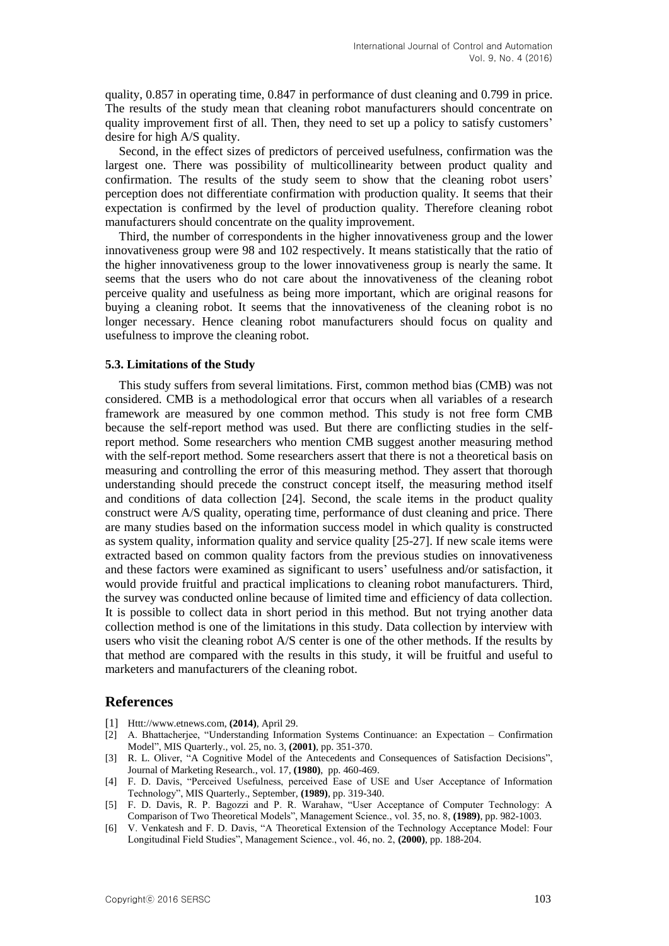quality, 0.857 in operating time, 0.847 in performance of dust cleaning and 0.799 in price. The results of the study mean that cleaning robot manufacturers should concentrate on quality improvement first of all. Then, they need to set up a policy to satisfy customers' desire for high A/S quality.

Second, in the effect sizes of predictors of perceived usefulness, confirmation was the largest one. There was possibility of multicollinearity between product quality and confirmation. The results of the study seem to show that the cleaning robot users' perception does not differentiate confirmation with production quality. It seems that their expectation is confirmed by the level of production quality. Therefore cleaning robot manufacturers should concentrate on the quality improvement.

Third, the number of correspondents in the higher innovativeness group and the lower innovativeness group were 98 and 102 respectively. It means statistically that the ratio of the higher innovativeness group to the lower innovativeness group is nearly the same. It seems that the users who do not care about the innovativeness of the cleaning robot perceive quality and usefulness as being more important, which are original reasons for buying a cleaning robot. It seems that the innovativeness of the cleaning robot is no longer necessary. Hence cleaning robot manufacturers should focus on quality and usefulness to improve the cleaning robot.

#### **5.3. Limitations of the Study**

This study suffers from several limitations. First, common method bias (CMB) was not considered. CMB is a methodological error that occurs when all variables of a research framework are measured by one common method. This study is not free form CMB because the self-report method was used. But there are conflicting studies in the selfreport method. Some researchers who mention CMB suggest another measuring method with the self-report method. Some researchers assert that there is not a theoretical basis on measuring and controlling the error of this measuring method. They assert that thorough understanding should precede the construct concept itself, the measuring method itself and conditions of data collection [24]. Second, the scale items in the product quality construct were A/S quality, operating time, performance of dust cleaning and price. There are many studies based on the information success model in which quality is constructed as system quality, information quality and service quality [25-27]. If new scale items were extracted based on common quality factors from the previous studies on innovativeness and these factors were examined as significant to users' usefulness and/or satisfaction, it would provide fruitful and practical implications to cleaning robot manufacturers. Third, the survey was conducted online because of limited time and efficiency of data collection. It is possible to collect data in short period in this method. But not trying another data collection method is one of the limitations in this study. Data collection by interview with users who visit the cleaning robot A/S center is one of the other methods. If the results by that method are compared with the results in this study, it will be fruitful and useful to marketers and manufacturers of the cleaning robot.

#### **References**

- [1] Httt://www.etnews.com, **(2014)**, April 29.
- [2] A. Bhattacherjee, "Understanding Information Systems Continuance: an Expectation Confirmation Model", MIS Quarterly., vol. 25, no. 3, **(2001)**, pp. 351-370.
- [3] R. L. Oliver, "A Cognitive Model of the Antecedents and Consequences of Satisfaction Decisions", Journal of Marketing Research., vol. 17, **(1980)**, pp. 460-469.
- [4] F. D. Davis, "Perceived Usefulness, perceived Ease of USE and User Acceptance of Information Technology", MIS Quarterly., September, **(1989)**, pp. 319-340.
- [5] F. D. Davis, R. P. Bagozzi and P. R. Warahaw, "User Acceptance of Computer Technology: A Comparison of Two Theoretical Models", Management Science., vol. 35, no. 8, **(1989)**, pp. 982-1003.
- [6] V. Venkatesh and F. D. Davis, "A Theoretical Extension of the Technology Acceptance Model: Four Longitudinal Field Studies", Management Science., vol. 46, no. 2, **(2000)**, pp. 188-204.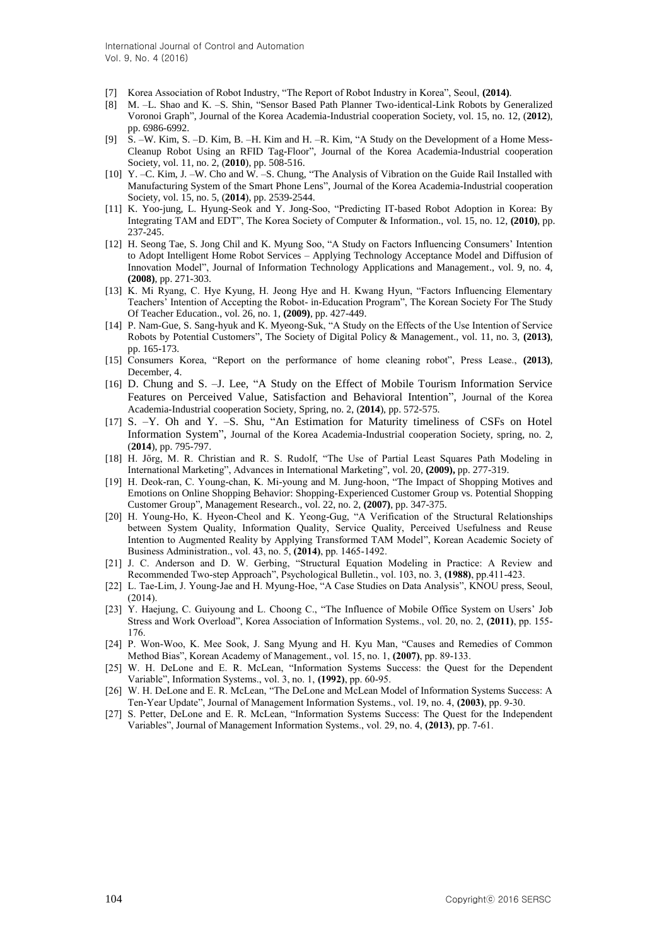- [7] Korea Association of Robot Industry, "The Report of Robot Industry in Korea", Seoul, **(2014)**.
- [8] M. –L. Shao and K. –S. Shin, "Sensor Based Path Planner Two-identical-Link Robots by Generalized Voronoi Graph", Journal of the Korea Academia-Industrial cooperation Society, vol. 15, no. 12, (**2012**), pp. 6986-6992.
- [9] S. –W. Kim, S. –D. Kim, B. –H. Kim and H. –R. Kim, "A Study on the Development of a Home Mess-Cleanup Robot Using an RFID Tag-Floor", Journal of the Korea Academia-Industrial cooperation Society, vol. 11, no. 2, (**2010**), pp. 508-516.
- [10] Y. –C. Kim, J. –W. Cho and W. –S. Chung, "The Analysis of Vibration on the Guide Rail Installed with Manufacturing System of the Smart Phone Lens", Journal of the Korea Academia-Industrial cooperation Society, vol. 15, no. 5, (**2014**), pp. 2539-2544.
- [11] K. Yoo-jung, L. Hyung-Seok and Y. Jong-Soo, "Predicting IT-based Robot Adoption in Korea: By Integrating TAM and EDT", The Korea Society of Computer & Information., vol. 15, no. 12, **(2010)**, pp. 237-245.
- [12] H. Seong Tae, S. Jong Chil and K. Myung Soo, "A Study on Factors Influencing Consumers' Intention to Adopt Intelligent Home Robot Services – Applying Technology Acceptance Model and Diffusion of Innovation Model", Journal of Information Technology Applications and Management., vol. 9, no. 4, **(2008)**, pp. 271-303.
- [13] K. Mi Ryang, C. Hye Kyung, H. Jeong Hye and H. Kwang Hyun, "Factors Influencing Elementary Teachers' Intention of Accepting the Robot- in-Education Program", The Korean Society For The Study Of Teacher Education., vol. 26, no. 1, **(2009)**, pp. 427-449.
- [14] P. Nam-Gue, S. Sang-hyuk and K. Myeong-Suk, "A Study on the Effects of the Use Intention of Service Robots by Potential Customers", The Society of Digital Policy & Management., vol. 11, no. 3, **(2013)**, pp. 165-173.
- [15] Consumers Korea, "Report on the performance of home cleaning robot", Press Lease., **(2013)**, December, 4.
- [16] D. Chung and S. –J. Lee, "A Study on the Effect of Mobile Tourism Information Service Features on Perceived Value, Satisfaction and Behavioral Intention", Journal of the Korea Academia-Industrial cooperation Society, Spring, no. 2, (**2014**), pp. 572-575.
- [17] S. –Y. Oh and Y. –S. Shu, "An Estimation for Maturity timeliness of CSFs on Hotel Information System", Journal of the Korea Academia-Industrial cooperation Society, spring, no. 2, (**2014**), pp. 795-797.
- [18] H. Jőrg, M. R. Christian and R. S. Rudolf, "The Use of Partial Least Squares Path Modeling in International Marketing", Advances in International Marketing", vol. 20, **(2009),** pp. 277-319.
- [19] H. Deok-ran, C. Young-chan, K. Mi-young and M. Jung-hoon, "The Impact of Shopping Motives and Emotions on Online Shopping Behavior: Shopping-Experienced Customer Group vs. Potential Shopping Customer Group", Management Research., vol. 22, no. 2, **(2007)**, pp. 347-375.
- [20] H. Young-Ho, K. Hyeon-Cheol and K. Yeong-Gug, "A Verification of the Structural Relationships between System Quality, Information Quality, Service Quality, Perceived Usefulness and Reuse Intention to Augmented Reality by Applying Transformed TAM Model", Korean Academic Society of Business Administration., vol. 43, no. 5, **(2014)**, pp. 1465-1492.
- [21] J. C. Anderson and D. W. Gerbing, "Structural Equation Modeling in Practice: A Review and Recommended Two-step Approach", Psychological Bulletin., vol. 103, no. 3, **(1988)**, pp.411-423.
- [22] L. Tae-Lim, J. Young-Jae and H. Myung-Hoe, "A Case Studies on Data Analysis", KNOU press, Seoul,  $(2014)$
- [23] Y. Haejung, C. Guiyoung and L. Choong C., "The Influence of Mobile Office System on Users' Job Stress and Work Overload", Korea Association of Information Systems., vol. 20, no. 2, **(2011)**, pp. 155- 176.
- [24] P. Won-Woo, K. Mee Sook, J. Sang Myung and H. Kyu Man, "Causes and Remedies of Common Method Bias", Korean Academy of Management., vol. 15, no. 1, **(2007)**, pp. 89-133.
- [25] W. H. DeLone and E. R. McLean, "Information Systems Success: the Quest for the Dependent Variable", Information Systems., vol. 3, no. 1, **(1992)**, pp. 60-95.
- [26] W. H. DeLone and E. R. McLean, "The DeLone and McLean Model of Information Systems Success: A Ten-Year Update", Journal of Management Information Systems., vol. 19, no. 4, **(2003)**, pp. 9-30.
- [27] S. Petter, DeLone and E. R. McLean, "Information Systems Success: The Quest for the Independent Variables", Journal of Management Information Systems., vol. 29, no. 4, **(2013)**, pp. 7-61.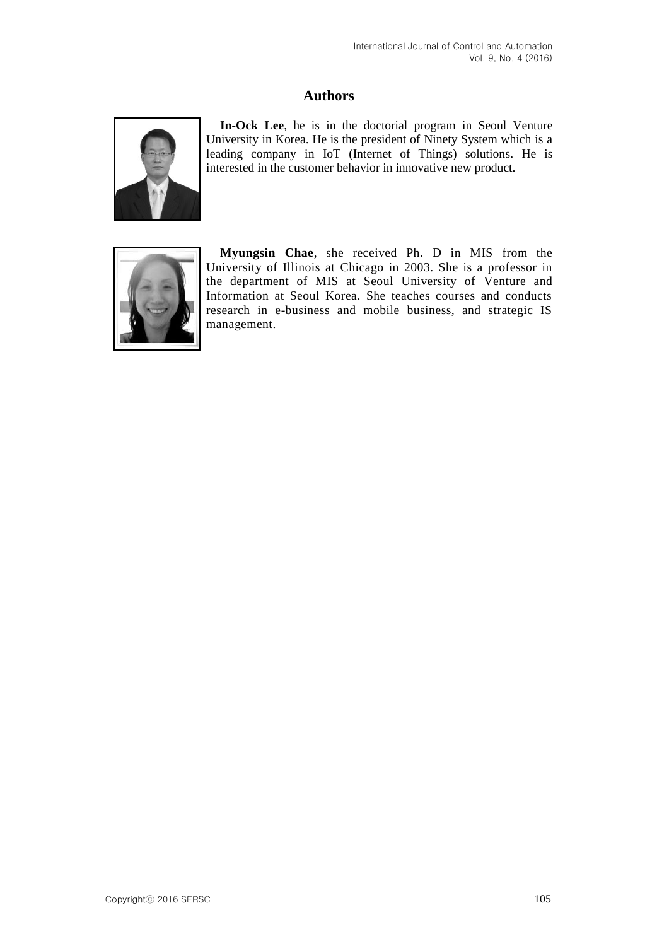## **Authors**



**In-Ock Lee**, he is in the doctorial program in Seoul Venture University in Korea. He is the president of Ninety System which is a leading company in IoT (Internet of Things) solutions. He is interested in the customer behavior in innovative new product.



**Myungsin Chae**, she received Ph. D in MIS from the University of Illinois at Chicago in 2003. She is a professor in the department of MIS at Seoul University of Venture and Information at Seoul Korea. She teaches courses and conducts research in e-business and mobile business, and strategic IS management.